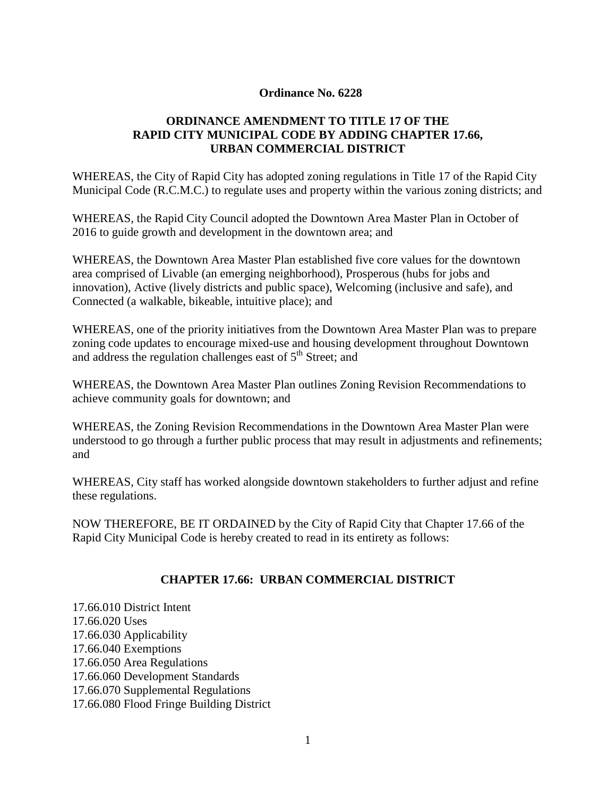#### **Ordinance No. 6228**

# **ORDINANCE AMENDMENT TO TITLE 17 OF THE RAPID CITY MUNICIPAL CODE BY ADDING CHAPTER 17.66, URBAN COMMERCIAL DISTRICT**

WHEREAS, the City of Rapid City has adopted zoning regulations in Title 17 of the Rapid City Municipal Code (R.C.M.C.) to regulate uses and property within the various zoning districts; and

WHEREAS, the Rapid City Council adopted the Downtown Area Master Plan in October of 2016 to guide growth and development in the downtown area; and

WHEREAS, the Downtown Area Master Plan established five core values for the downtown area comprised of Livable (an emerging neighborhood), Prosperous (hubs for jobs and innovation), Active (lively districts and public space), Welcoming (inclusive and safe), and Connected (a walkable, bikeable, intuitive place); and

WHEREAS, one of the priority initiatives from the Downtown Area Master Plan was to prepare zoning code updates to encourage mixed-use and housing development throughout Downtown and address the regulation challenges east of  $5<sup>th</sup>$  Street; and

WHEREAS, the Downtown Area Master Plan outlines Zoning Revision Recommendations to achieve community goals for downtown; and

WHEREAS, the Zoning Revision Recommendations in the Downtown Area Master Plan were understood to go through a further public process that may result in adjustments and refinements; and

WHEREAS, City staff has worked alongside downtown stakeholders to further adjust and refine these regulations.

NOW THEREFORE, BE IT ORDAINED by the City of Rapid City that Chapter 17.66 of the Rapid City Municipal Code is hereby created to read in its entirety as follows:

## **CHAPTER 17.66: URBAN COMMERCIAL DISTRICT**

17.66.010 District Intent [17.66.020](http://www.amlegal.com/nxt/gateway.dll?f=jumplink$jumplink_x=Advanced$jumplink_vpc=first$jumplink_xsl=querylink.xsl$jumplink_sel=title;path;content-type;home-title;item-bookmark$jumplink_d=south%20dakota(rapidcity_sd)$jumplink_q=%5bfield%20folio-destination-name:%272.68.020%27%5d$jumplink_md=target-id=JD_2.68.020) Uses 17.66.030 Applicability 17.66.040 Exemptions 17.66.050 Area Regulations 17.66.060 Development Standards 17.66.070 Supplemental Regulations 17.66.080 Flood Fringe Building District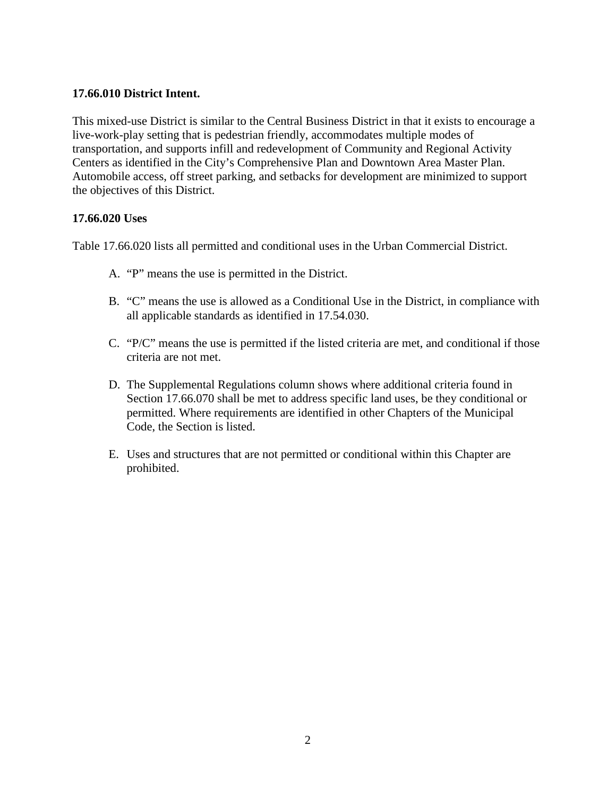### **17.66.010 District Intent.**

This mixed-use District is similar to the Central Business District in that it exists to encourage a live-work-play setting that is pedestrian friendly, accommodates multiple modes of transportation, and supports infill and redevelopment of Community and Regional Activity Centers as identified in the City's Comprehensive Plan and Downtown Area Master Plan. Automobile access, off street parking, and setbacks for development are minimized to support the objectives of this District.

#### **17.66.020 Uses**

Table 17.66.020 lists all permitted and conditional uses in the Urban Commercial District.

- A. "P" means the use is permitted in the District.
- B. "C" means the use is allowed as a Conditional Use in the District, in compliance with all applicable standards as identified in 17.54.030.
- C. "P/C" means the use is permitted if the listed criteria are met, and conditional if those criteria are not met.
- D. The Supplemental Regulations column shows where additional criteria found in Section 17.66.070 shall be met to address specific land uses, be they conditional or permitted. Where requirements are identified in other Chapters of the Municipal Code, the Section is listed.
- E. Uses and structures that are not permitted or conditional within this Chapter are prohibited.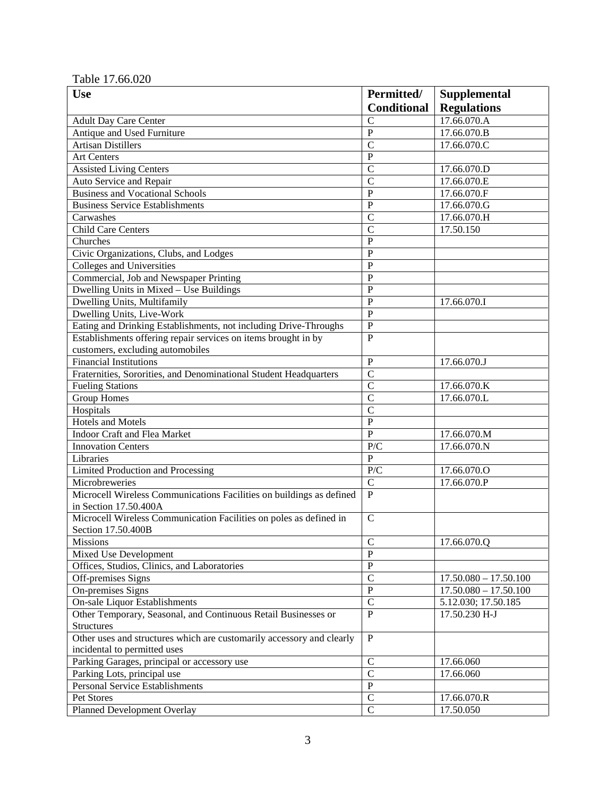#### Table 17.66.020

| <b>Use</b>                                                            | Permitted/         | <b>Supplemental</b>     |
|-----------------------------------------------------------------------|--------------------|-------------------------|
|                                                                       | <b>Conditional</b> | <b>Regulations</b>      |
| <b>Adult Day Care Center</b>                                          | $\overline{C}$     | 17.66.070.A             |
| Antique and Used Furniture                                            | $\overline{P}$     | 17.66.070.B             |
| <b>Artisan Distillers</b>                                             | $\overline{C}$     | 17.66.070.C             |
| Art Centers                                                           | ${\bf P}$          |                         |
| <b>Assisted Living Centers</b>                                        | $\overline{C}$     | 17.66.070.D             |
| Auto Service and Repair                                               | $\overline{C}$     | 17.66.070.E             |
| <b>Business and Vocational Schools</b>                                | $\overline{P}$     | 17.66.070.F             |
| <b>Business Service Establishments</b>                                | $\overline{P}$     | 17.66.070.G             |
| Carwashes                                                             | $\mathcal{C}$      | 17.66.070.H             |
| <b>Child Care Centers</b>                                             | $\mathcal{C}$      | 17.50.150               |
| Churches                                                              | $\mathbf P$        |                         |
| Civic Organizations, Clubs, and Lodges                                | $\mathbf P$        |                         |
| Colleges and Universities                                             | $\mathbf P$        |                         |
| Commercial, Job and Newspaper Printing                                | $\overline{P}$     |                         |
| Dwelling Units in Mixed - Use Buildings                               | $\overline{P}$     |                         |
| Dwelling Units, Multifamily                                           | $\overline{P}$     | 17.66.070.I             |
| Dwelling Units, Live-Work                                             | $\overline{P}$     |                         |
| Eating and Drinking Establishments, not including Drive-Throughs      | $\overline{P}$     |                         |
| Establishments offering repair services on items brought in by        | $\overline{P}$     |                         |
| customers, excluding automobiles                                      |                    |                         |
| <b>Financial Institutions</b>                                         | $\mathbf{P}$       | 17.66.070.J             |
| Fraternities, Sororities, and Denominational Student Headquarters     | $\mathcal{C}$      |                         |
| <b>Fueling Stations</b>                                               | $\mathcal{C}$      | 17.66.070.K             |
| <b>Group Homes</b>                                                    | $\mathcal{C}$      | 17.66.070.L             |
| Hospitals                                                             | $\overline{C}$     |                         |
| <b>Hotels and Motels</b>                                              | $\overline{P}$     |                         |
| Indoor Craft and Flea Market                                          | $\overline{P}$     | 17.66.070.M             |
| <b>Innovation Centers</b>                                             | $P/\overline{C}$   | 17.66.070.N             |
| Libraries                                                             | $\overline{P}$     |                         |
| Limited Production and Processing                                     | P/C                | 17.66.070.0             |
| Microbreweries                                                        | $\mathbf C$        | 17.66.070.P             |
| Microcell Wireless Communications Facilities on buildings as defined  | $\mathbf{P}$       |                         |
| in Section 17.50.400A                                                 |                    |                         |
| Microcell Wireless Communication Facilities on poles as defined in    | $\mathbf C$        |                         |
| Section 17.50.400B                                                    |                    |                         |
| <b>Missions</b>                                                       | $\mathbf C$        | 17.66.070.Q             |
| Mixed Use Development                                                 | $\overline{P}$     |                         |
| Offices, Studios, Clinics, and Laboratories                           | ${\bf P}$          |                         |
| Off-premises Signs                                                    | $\mathcal{C}$      | $17.50.080 - 17.50.100$ |
| On-premises Signs                                                     | ${\bf P}$          | $17.50.080 - 17.50.100$ |
| <b>On-sale Liquor Establishments</b>                                  | $\mathcal{C}$      | 5.12.030; 17.50.185     |
| Other Temporary, Seasonal, and Continuous Retail Businesses or        | $\mathbf{P}$       | 17.50.230 H-J           |
| <b>Structures</b>                                                     |                    |                         |
| Other uses and structures which are customarily accessory and clearly | $\, {\bf P}$       |                         |
| incidental to permitted uses                                          |                    |                         |
| Parking Garages, principal or accessory use                           | $\mathbf C$        | 17.66.060               |
| Parking Lots, principal use                                           | $\overline{C}$     | 17.66.060               |
| <b>Personal Service Establishments</b>                                | $\overline{P}$     |                         |
| Pet Stores                                                            | $\mathcal{C}$      | 17.66.070.R             |
| Planned Development Overlay                                           | $\overline{C}$     | 17.50.050               |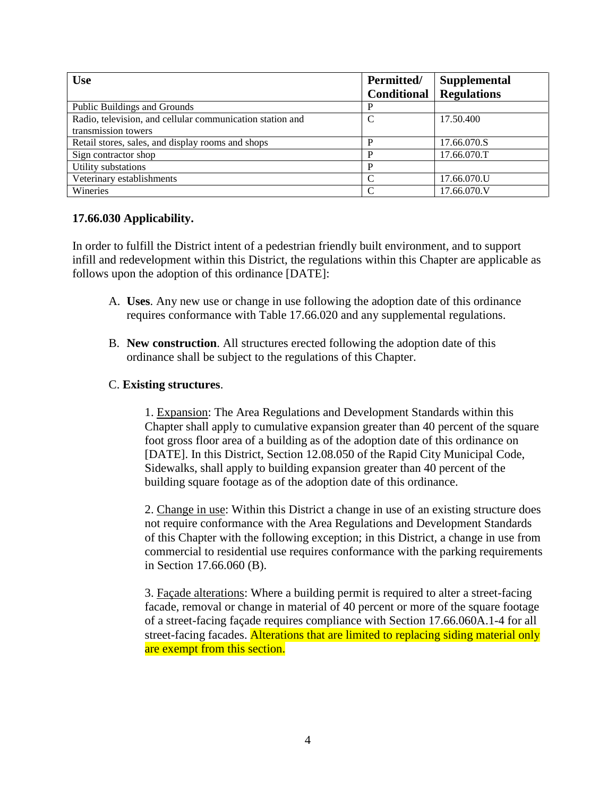| <b>Use</b>                                                | Permitted/<br><b>Conditional</b> | <b>Supplemental</b><br><b>Regulations</b> |
|-----------------------------------------------------------|----------------------------------|-------------------------------------------|
| Public Buildings and Grounds                              |                                  |                                           |
| Radio, television, and cellular communication station and |                                  | 17.50.400                                 |
| transmission towers                                       |                                  |                                           |
| Retail stores, sales, and display rooms and shops         |                                  | 17.66.070.S                               |
| Sign contractor shop                                      |                                  | 17.66.070.T                               |
| Utility substations                                       |                                  |                                           |
| Veterinary establishments                                 | $\curvearrowright$               | 17.66.070.U                               |
| Wineries                                                  | C                                | 17.66.070.V                               |

#### **17.66.030 Applicability.**

In order to fulfill the District intent of a pedestrian friendly built environment, and to support infill and redevelopment within this District, the regulations within this Chapter are applicable as follows upon the adoption of this ordinance [DATE]:

- A. **Uses**. Any new use or change in use following the adoption date of this ordinance requires conformance with Table 17.66.020 and any supplemental regulations.
- B. **New construction**. All structures erected following the adoption date of this ordinance shall be subject to the regulations of this Chapter.

#### C. **Existing structures**.

1. Expansion: The Area Regulations and Development Standards within this Chapter shall apply to cumulative expansion greater than 40 percent of the square foot gross floor area of a building as of the adoption date of this ordinance on [DATE]. In this District, Section 12.08.050 of the Rapid City Municipal Code, Sidewalks, shall apply to building expansion greater than 40 percent of the building square footage as of the adoption date of this ordinance.

2. Change in use: Within this District a change in use of an existing structure does not require conformance with the Area Regulations and Development Standards of this Chapter with the following exception; in this District, a change in use from commercial to residential use requires conformance with the parking requirements in Section 17.66.060 (B).

3. Façade alterations: Where a building permit is required to alter a street-facing facade, removal or change in material of 40 percent or more of the square footage of a street-facing façade requires compliance with Section 17.66.060A.1-4 for all street-facing facades. Alterations that are limited to replacing siding material only are exempt from this section.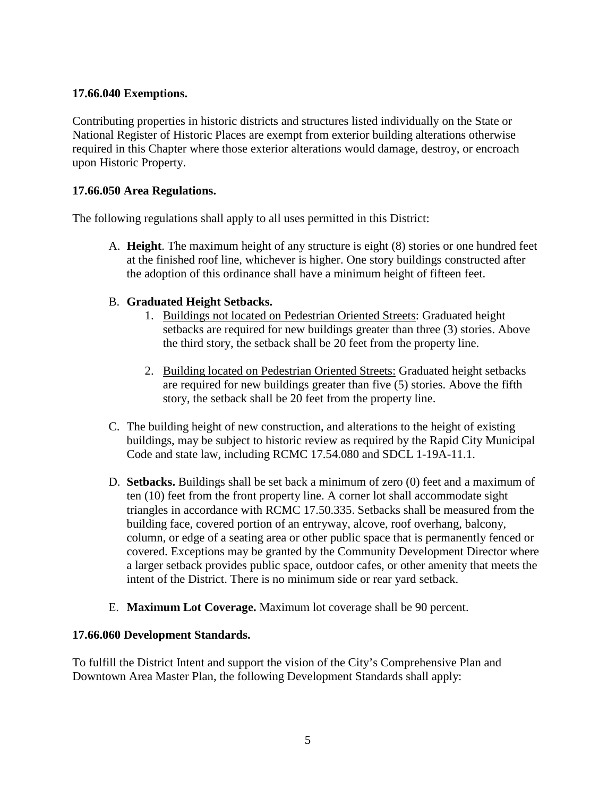### **17.66.040 Exemptions.**

Contributing properties in historic districts and structures listed individually on the State or National Register of Historic Places are exempt from exterior building alterations otherwise required in this Chapter where those exterior alterations would damage, destroy, or encroach upon Historic Property.

#### **17.66.050 Area Regulations.**

The following regulations shall apply to all uses permitted in this District:

A. **Height**. The maximum height of any structure is eight (8) stories or one hundred feet at the finished roof line, whichever is higher. One story buildings constructed after the adoption of this ordinance shall have a minimum height of fifteen feet.

#### B. **Graduated Height Setbacks.**

- 1. Buildings not located on Pedestrian Oriented Streets: Graduated height setbacks are required for new buildings greater than three (3) stories. Above the third story, the setback shall be 20 feet from the property line.
- 2. Building located on Pedestrian Oriented Streets: Graduated height setbacks are required for new buildings greater than five (5) stories. Above the fifth story, the setback shall be 20 feet from the property line.
- C. The building height of new construction, and alterations to the height of existing buildings, may be subject to historic review as required by the Rapid City Municipal Code and state law, including RCMC 17.54.080 and SDCL 1-19A-11.1.
- D. **Setbacks.** Buildings shall be set back a minimum of zero (0) feet and a maximum of ten (10) feet from the front property line. A corner lot shall accommodate sight triangles in accordance with RCMC 17.50.335. Setbacks shall be measured from the building face, covered portion of an entryway, alcove, roof overhang, balcony, column, or edge of a seating area or other public space that is permanently fenced or covered. Exceptions may be granted by the Community Development Director where a larger setback provides public space, outdoor cafes, or other amenity that meets the intent of the District. There is no minimum side or rear yard setback.
- E. **Maximum Lot Coverage.** Maximum lot coverage shall be 90 percent.

#### **17.66.060 Development Standards.**

To fulfill the District Intent and support the vision of the City's Comprehensive Plan and Downtown Area Master Plan, the following Development Standards shall apply: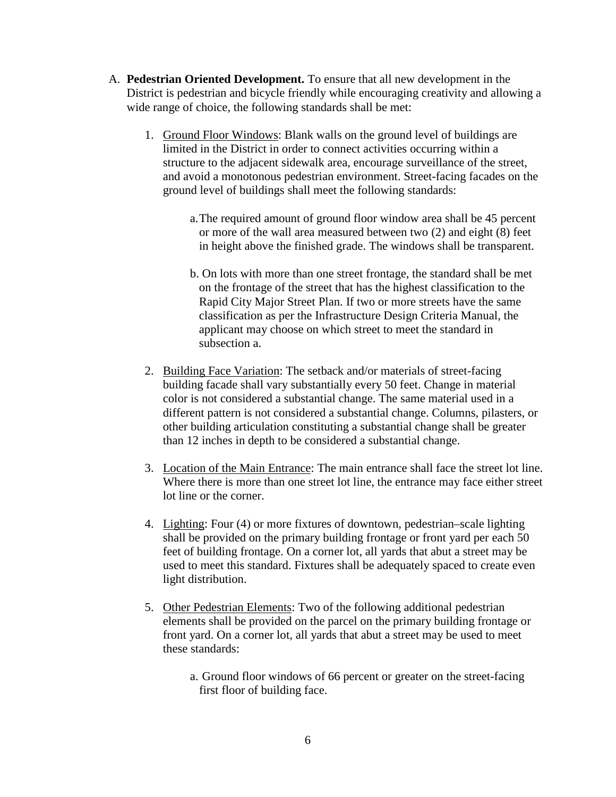- A. **Pedestrian Oriented Development.** To ensure that all new development in the District is pedestrian and bicycle friendly while encouraging creativity and allowing a wide range of choice, the following standards shall be met:
	- 1. Ground Floor Windows: Blank walls on the ground level of buildings are limited in the District in order to connect activities occurring within a structure to the adjacent sidewalk area, encourage surveillance of the street, and avoid a monotonous pedestrian environment. Street-facing facades on the ground level of buildings shall meet the following standards:
		- a.The required amount of ground floor window area shall be 45 percent or more of the wall area measured between two (2) and eight (8) feet in height above the finished grade. The windows shall be transparent.
		- b. On lots with more than one street frontage, the standard shall be met on the frontage of the street that has the highest classification to the Rapid City Major Street Plan. If two or more streets have the same classification as per the Infrastructure Design Criteria Manual, the applicant may choose on which street to meet the standard in subsection a.
	- 2. Building Face Variation: The setback and/or materials of street-facing building facade shall vary substantially every 50 feet. Change in material color is not considered a substantial change. The same material used in a different pattern is not considered a substantial change. Columns, pilasters, or other building articulation constituting a substantial change shall be greater than 12 inches in depth to be considered a substantial change.
	- 3. Location of the Main Entrance: The main entrance shall face the street lot line. Where there is more than one street lot line, the entrance may face either street lot line or the corner.
	- 4. Lighting: Four (4) or more fixtures of downtown, pedestrian–scale lighting shall be provided on the primary building frontage or front yard per each 50 feet of building frontage. On a corner lot, all yards that abut a street may be used to meet this standard. Fixtures shall be adequately spaced to create even light distribution.
	- 5. Other Pedestrian Elements: Two of the following additional pedestrian elements shall be provided on the parcel on the primary building frontage or front yard. On a corner lot, all yards that abut a street may be used to meet these standards:
		- a. Ground floor windows of 66 percent or greater on the street-facing first floor of building face.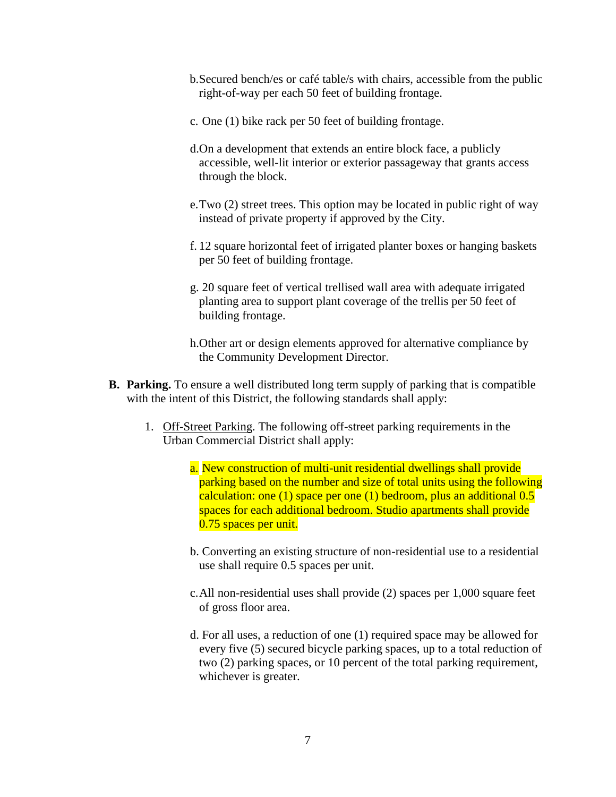- b.Secured bench/es or café table/s with chairs, accessible from the public right-of-way per each 50 feet of building frontage.
- c. One (1) bike rack per 50 feet of building frontage.
- d.On a development that extends an entire block face, a publicly accessible, well-lit interior or exterior passageway that grants access through the block.
- e.Two (2) street trees. This option may be located in public right of way instead of private property if approved by the City.
- f. 12 square horizontal feet of irrigated planter boxes or hanging baskets per 50 feet of building frontage.
- g. 20 square feet of vertical trellised wall area with adequate irrigated planting area to support plant coverage of the trellis per 50 feet of building frontage.
- h.Other art or design elements approved for alternative compliance by the Community Development Director.
- **B. Parking.** To ensure a well distributed long term supply of parking that is compatible with the intent of this District, the following standards shall apply:
	- 1. Off-Street Parking. The following off-street parking requirements in the Urban Commercial District shall apply:
		- a. New construction of multi-unit residential dwellings shall provide parking based on the number and size of total units using the following calculation: one (1) space per one (1) bedroom, plus an additional 0.5 spaces for each additional bedroom. Studio apartments shall provide 0.75 spaces per unit.
		- b. Converting an existing structure of non-residential use to a residential use shall require 0.5 spaces per unit.
		- c.All non-residential uses shall provide (2) spaces per 1,000 square feet of gross floor area.
		- d. For all uses, a reduction of one (1) required space may be allowed for every five (5) secured bicycle parking spaces, up to a total reduction of two (2) parking spaces, or 10 percent of the total parking requirement, whichever is greater.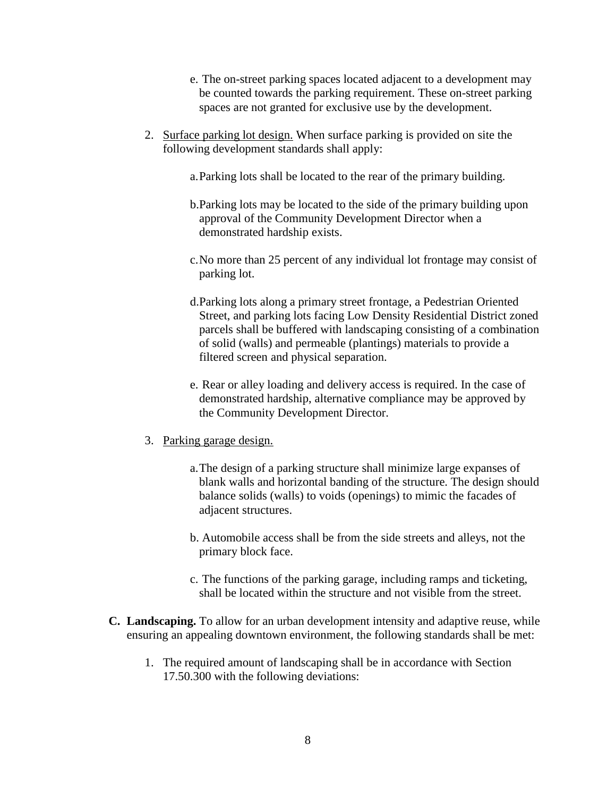- e. The on-street parking spaces located adjacent to a development may be counted towards the parking requirement. These on-street parking spaces are not granted for exclusive use by the development.
- 2. Surface parking lot design. When surface parking is provided on site the following development standards shall apply:
	- a.Parking lots shall be located to the rear of the primary building.
	- b.Parking lots may be located to the side of the primary building upon approval of the Community Development Director when a demonstrated hardship exists.
	- c.No more than 25 percent of any individual lot frontage may consist of parking lot.
	- d.Parking lots along a primary street frontage, a Pedestrian Oriented Street, and parking lots facing Low Density Residential District zoned parcels shall be buffered with landscaping consisting of a combination of solid (walls) and permeable (plantings) materials to provide a filtered screen and physical separation.
	- e. Rear or alley loading and delivery access is required. In the case of demonstrated hardship, alternative compliance may be approved by the Community Development Director.
- 3. Parking garage design.
	- a.The design of a parking structure shall minimize large expanses of blank walls and horizontal banding of the structure. The design should balance solids (walls) to voids (openings) to mimic the facades of adjacent structures.
	- b. Automobile access shall be from the side streets and alleys, not the primary block face.
	- c. The functions of the parking garage, including ramps and ticketing, shall be located within the structure and not visible from the street.
- **C. Landscaping.** To allow for an urban development intensity and adaptive reuse, while ensuring an appealing downtown environment, the following standards shall be met:
	- 1. The required amount of landscaping shall be in accordance with Section 17.50.300 with the following deviations: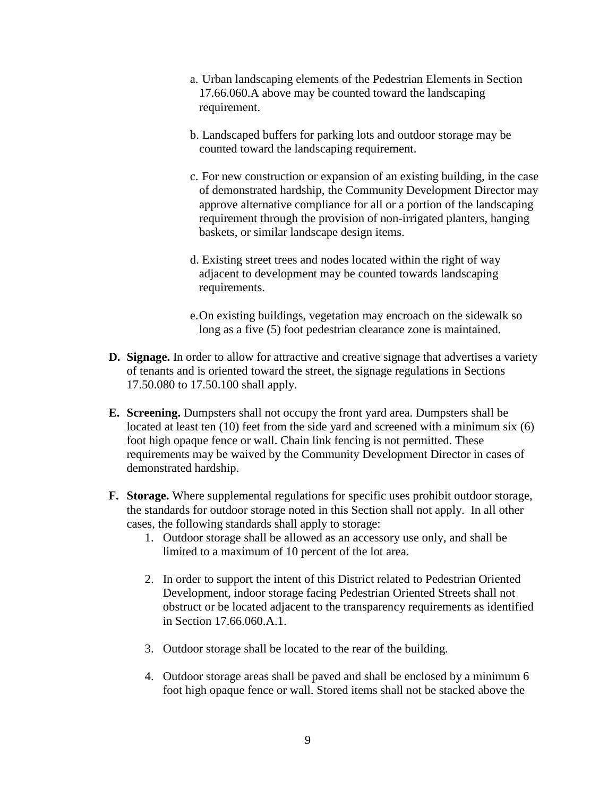- a. Urban landscaping elements of the Pedestrian Elements in Section 17.66.060.A above may be counted toward the landscaping requirement.
- b. Landscaped buffers for parking lots and outdoor storage may be counted toward the landscaping requirement.
- c. For new construction or expansion of an existing building, in the case of demonstrated hardship, the Community Development Director may approve alternative compliance for all or a portion of the landscaping requirement through the provision of non-irrigated planters, hanging baskets, or similar landscape design items.
- d. Existing street trees and nodes located within the right of way adjacent to development may be counted towards landscaping requirements.
- e.On existing buildings, vegetation may encroach on the sidewalk so long as a five (5) foot pedestrian clearance zone is maintained.
- **D. Signage.** In order to allow for attractive and creative signage that advertises a variety of tenants and is oriented toward the street, the signage regulations in Sections 17.50.080 to 17.50.100 shall apply.
- **E. Screening.** Dumpsters shall not occupy the front yard area. Dumpsters shall be located at least ten (10) feet from the side yard and screened with a minimum six (6) foot high opaque fence or wall. Chain link fencing is not permitted. These requirements may be waived by the Community Development Director in cases of demonstrated hardship.
- **F. Storage.** Where supplemental regulations for specific uses prohibit outdoor storage, the standards for outdoor storage noted in this Section shall not apply. In all other cases, the following standards shall apply to storage:
	- 1. Outdoor storage shall be allowed as an accessory use only, and shall be limited to a maximum of 10 percent of the lot area.
	- 2. In order to support the intent of this District related to Pedestrian Oriented Development, indoor storage facing Pedestrian Oriented Streets shall not obstruct or be located adjacent to the transparency requirements as identified in Section 17.66.060.A.1.
	- 3. Outdoor storage shall be located to the rear of the building.
	- 4. Outdoor storage areas shall be paved and shall be enclosed by a minimum 6 foot high opaque fence or wall. Stored items shall not be stacked above the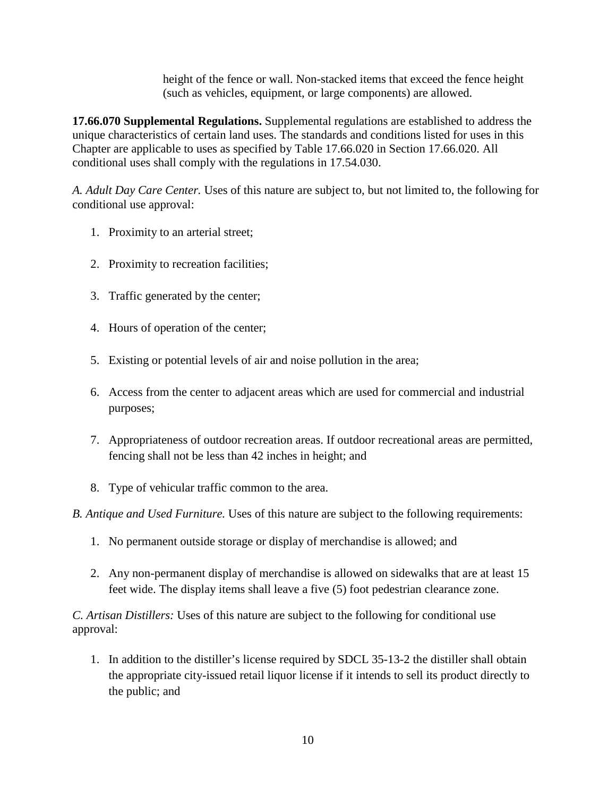height of the fence or wall. Non-stacked items that exceed the fence height (such as vehicles, equipment, or large components) are allowed.

**17.66.070 Supplemental Regulations.** Supplemental regulations are established to address the unique characteristics of certain land uses. The standards and conditions listed for uses in this Chapter are applicable to uses as specified by Table 17.66.020 in Section 17.66.020. All conditional uses shall comply with the regulations in 17.54.030.

*A. Adult Day Care Center.* Uses of this nature are subject to, but not limited to, the following for conditional use approval:

- 1. Proximity to an arterial street;
- 2. Proximity to recreation facilities;
- 3. Traffic generated by the center;
- 4. Hours of operation of the center;
- 5. Existing or potential levels of air and noise pollution in the area;
- 6. Access from the center to adjacent areas which are used for commercial and industrial purposes;
- 7. Appropriateness of outdoor recreation areas. If outdoor recreational areas are permitted, fencing shall not be less than 42 inches in height; and
- 8. Type of vehicular traffic common to the area.

*B. Antique and Used Furniture.* Uses of this nature are subject to the following requirements:

- 1. No permanent outside storage or display of merchandise is allowed; and
- 2. Any non-permanent display of merchandise is allowed on sidewalks that are at least 15 feet wide. The display items shall leave a five (5) foot pedestrian clearance zone.

*C. Artisan Distillers:* Uses of this nature are subject to the following for conditional use approval:

1. In addition to the distiller's license required by SDCL 35-13-2 the distiller shall obtain the appropriate city-issued retail liquor license if it intends to sell its product directly to the public; and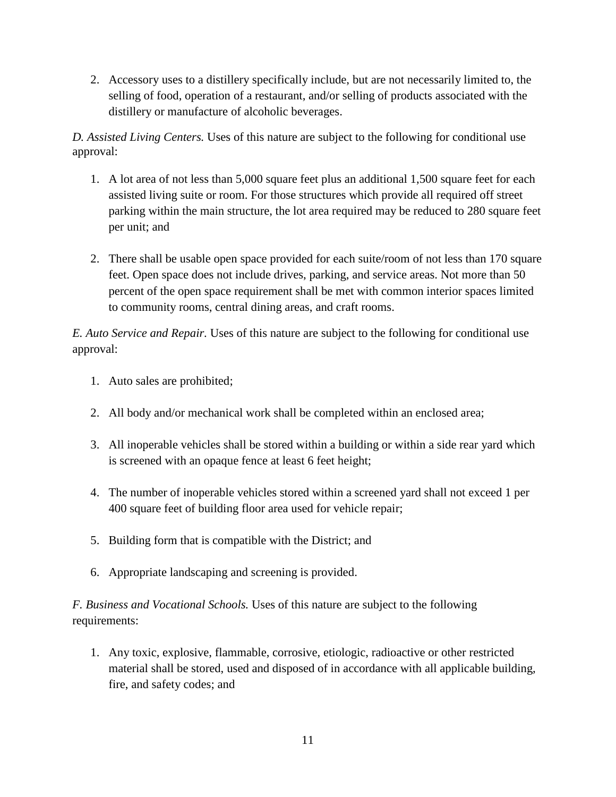2. Accessory uses to a distillery specifically include, but are not necessarily limited to, the selling of food, operation of a restaurant, and/or selling of products associated with the distillery or manufacture of alcoholic beverages.

*D. Assisted Living Centers.* Uses of this nature are subject to the following for conditional use approval:

- 1. A lot area of not less than 5,000 square feet plus an additional 1,500 square feet for each assisted living suite or room. For those structures which provide all required off street parking within the main structure, the lot area required may be reduced to 280 square feet per unit; and
- 2. There shall be usable open space provided for each suite/room of not less than 170 square feet. Open space does not include drives, parking, and service areas. Not more than 50 percent of the open space requirement shall be met with common interior spaces limited to community rooms, central dining areas, and craft rooms.

*E. Auto Service and Repair.* Uses of this nature are subject to the following for conditional use approval:

- 1. Auto sales are prohibited;
- 2. All body and/or mechanical work shall be completed within an enclosed area;
- 3. All inoperable vehicles shall be stored within a building or within a side rear yard which is screened with an opaque fence at least 6 feet height;
- 4. The number of inoperable vehicles stored within a screened yard shall not exceed 1 per 400 square feet of building floor area used for vehicle repair;
- 5. Building form that is compatible with the District; and
- 6. Appropriate landscaping and screening is provided.

*F. Business and Vocational Schools.* Uses of this nature are subject to the following requirements:

1. Any toxic, explosive, flammable, corrosive, etiologic, radioactive or other restricted material shall be stored, used and disposed of in accordance with all applicable building, fire, and safety codes; and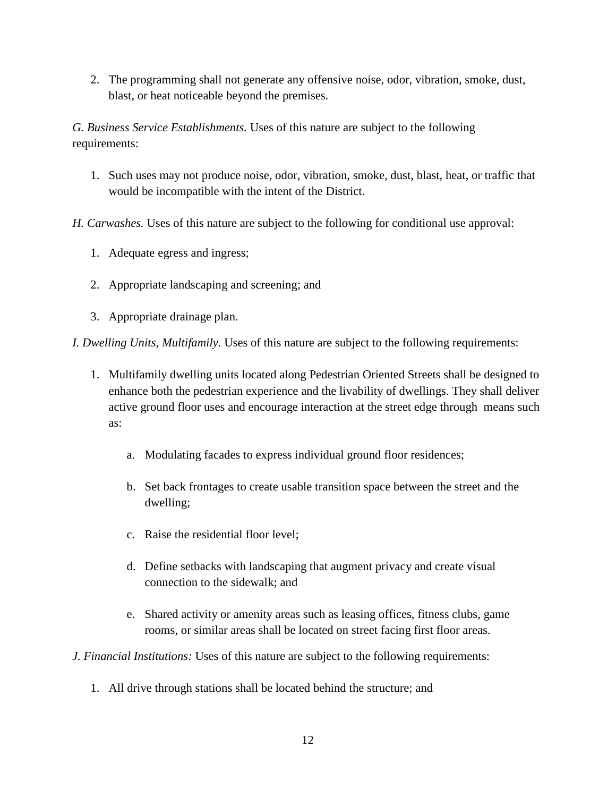2. The programming shall not generate any offensive noise, odor, vibration, smoke, dust, blast, or heat noticeable beyond the premises.

*G. Business Service Establishments.* Uses of this nature are subject to the following requirements:

1. Such uses may not produce noise, odor, vibration, smoke, dust, blast, heat, or traffic that would be incompatible with the intent of the District.

*H. Carwashes.* Uses of this nature are subject to the following for conditional use approval:

- 1. Adequate egress and ingress;
- 2. Appropriate landscaping and screening; and
- 3. Appropriate drainage plan.

*I. Dwelling Units, Multifamily.* Uses of this nature are subject to the following requirements:

- 1. Multifamily dwelling units located along Pedestrian Oriented Streets shall be designed to enhance both the pedestrian experience and the livability of dwellings. They shall deliver active ground floor uses and encourage interaction at the street edge through means such as:
	- a. Modulating facades to express individual ground floor residences;
	- b. Set back frontages to create usable transition space between the street and the dwelling;
	- c. Raise the residential floor level;
	- d. Define setbacks with landscaping that augment privacy and create visual connection to the sidewalk; and
	- e. Shared activity or amenity areas such as leasing offices, fitness clubs, game rooms, or similar areas shall be located on street facing first floor areas.
- *J. Financial Institutions:* Uses of this nature are subject to the following requirements:
	- 1. All drive through stations shall be located behind the structure; and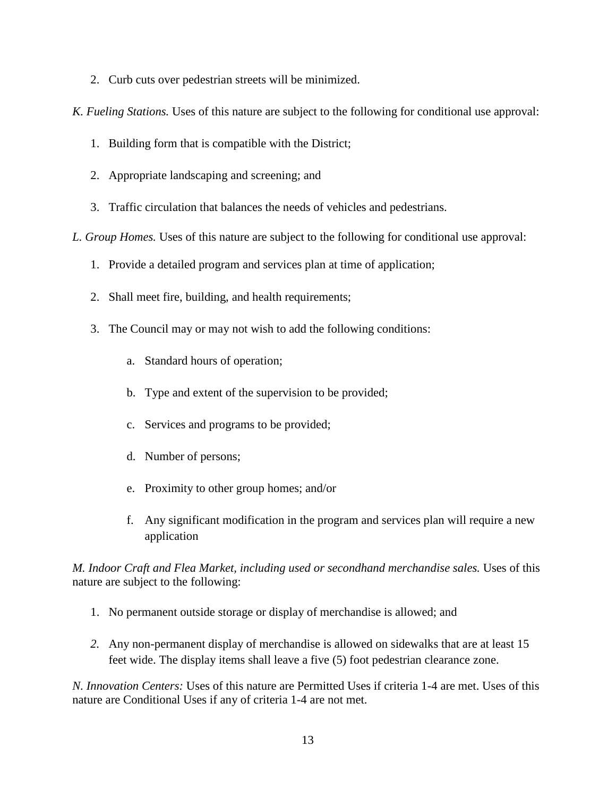2. Curb cuts over pedestrian streets will be minimized.

*K. Fueling Stations.* Uses of this nature are subject to the following for conditional use approval:

- 1. Building form that is compatible with the District;
- 2. Appropriate landscaping and screening; and
- 3. Traffic circulation that balances the needs of vehicles and pedestrians.

*L. Group Homes.* Uses of this nature are subject to the following for conditional use approval:

- 1. Provide a detailed program and services plan at time of application;
- 2. Shall meet fire, building, and health requirements;
- 3. The Council may or may not wish to add the following conditions:
	- a. Standard hours of operation;
	- b. Type and extent of the supervision to be provided;
	- c. Services and programs to be provided;
	- d. Number of persons;
	- e. Proximity to other group homes; and/or
	- f. Any significant modification in the program and services plan will require a new application

*M. Indoor Craft and Flea Market, including used or secondhand merchandise sales.* Uses of this nature are subject to the following:

- 1. No permanent outside storage or display of merchandise is allowed; and
- *2.* Any non-permanent display of merchandise is allowed on sidewalks that are at least 15 feet wide. The display items shall leave a five (5) foot pedestrian clearance zone.

*N. Innovation Centers:* Uses of this nature are Permitted Uses if criteria 1-4 are met. Uses of this nature are Conditional Uses if any of criteria 1-4 are not met.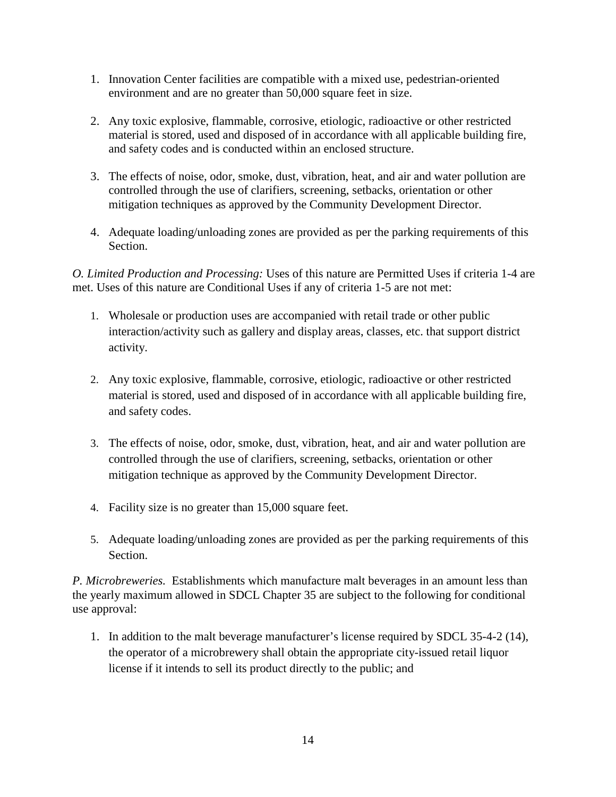- 1. Innovation Center facilities are compatible with a mixed use, pedestrian-oriented environment and are no greater than 50,000 square feet in size.
- 2. Any toxic explosive, flammable, corrosive, etiologic, radioactive or other restricted material is stored, used and disposed of in accordance with all applicable building fire, and safety codes and is conducted within an enclosed structure.
- 3. The effects of noise, odor, smoke, dust, vibration, heat, and air and water pollution are controlled through the use of clarifiers, screening, setbacks, orientation or other mitigation techniques as approved by the Community Development Director.
- 4. Adequate loading/unloading zones are provided as per the parking requirements of this Section.

*O. Limited Production and Processing:* Uses of this nature are Permitted Uses if criteria 1-4 are met. Uses of this nature are Conditional Uses if any of criteria 1-5 are not met:

- 1. Wholesale or production uses are accompanied with retail trade or other public interaction/activity such as gallery and display areas, classes, etc. that support district activity.
- 2. Any toxic explosive, flammable, corrosive, etiologic, radioactive or other restricted material is stored, used and disposed of in accordance with all applicable building fire, and safety codes.
- 3. The effects of noise, odor, smoke, dust, vibration, heat, and air and water pollution are controlled through the use of clarifiers, screening, setbacks, orientation or other mitigation technique as approved by the Community Development Director.
- 4. Facility size is no greater than 15,000 square feet.
- 5. Adequate loading/unloading zones are provided as per the parking requirements of this Section.

*P. Microbreweries.* Establishments which manufacture malt beverages in an amount less than the yearly maximum allowed in SDCL Chapter 35 are subject to the following for conditional use approval:

1. In addition to the malt beverage manufacturer's license required by SDCL 35-4-2 (14), the operator of a microbrewery shall obtain the appropriate city-issued retail liquor license if it intends to sell its product directly to the public; and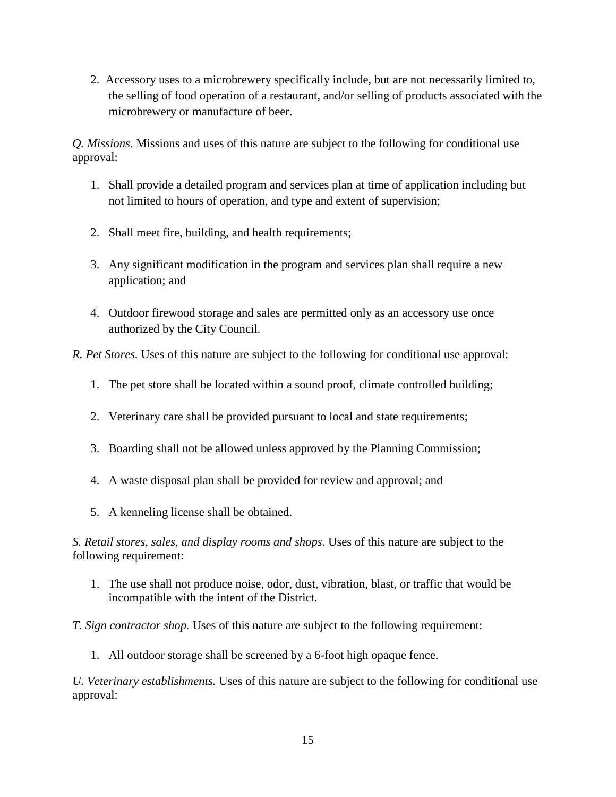2. Accessory uses to a microbrewery specifically include, but are not necessarily limited to, the selling of food operation of a restaurant, and/or selling of products associated with the microbrewery or manufacture of beer.

*Q. Missions.* Missions and uses of this nature are subject to the following for conditional use approval:

- 1. Shall provide a detailed program and services plan at time of application including but not limited to hours of operation, and type and extent of supervision;
- 2. Shall meet fire, building, and health requirements;
- 3. Any significant modification in the program and services plan shall require a new application; and
- 4. Outdoor firewood storage and sales are permitted only as an accessory use once authorized by the City Council.

*R. Pet Stores.* Uses of this nature are subject to the following for conditional use approval:

- 1. The pet store shall be located within a sound proof, climate controlled building;
- 2. Veterinary care shall be provided pursuant to local and state requirements;
- 3. Boarding shall not be allowed unless approved by the Planning Commission;
- 4. A waste disposal plan shall be provided for review and approval; and
- 5. A kenneling license shall be obtained.

*S. Retail stores, sales, and display rooms and shops.* Uses of this nature are subject to the following requirement:

1. The use shall not produce noise, odor, dust, vibration, blast, or traffic that would be incompatible with the intent of the District.

*T. Sign contractor shop.* Uses of this nature are subject to the following requirement:

1. All outdoor storage shall be screened by a 6-foot high opaque fence.

*U. Veterinary establishments.* Uses of this nature are subject to the following for conditional use approval: